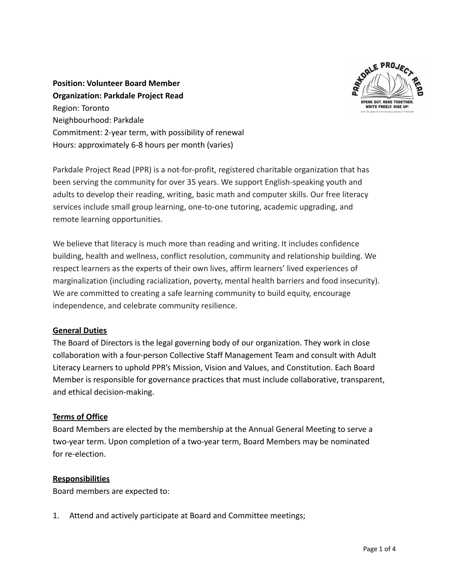

**Position: Volunteer Board Member Organization: Parkdale Project Read** Region: Toronto Neighbourhood: Parkdale Commitment: 2-year term, with possibility of renewal Hours: approximately 6-8 hours per month (varies)

Parkdale Project Read (PPR) is a not-for-profit, registered charitable organization that has been serving the community for over 35 years. We support English-speaking youth and adults to develop their reading, writing, basic math and computer skills. Our free literacy services include small group learning, one-to-one tutoring, academic upgrading, and remote learning opportunities.

We believe that literacy is much more than reading and writing. It includes confidence building, health and wellness, conflict resolution, community and relationship building. We respect learners as the experts of their own lives, affirm learners' lived experiences of marginalization (including racialization, poverty, mental health barriers and food insecurity). We are committed to creating a safe learning community to build equity, encourage independence, and celebrate community resilience.

# **General Duties**

The Board of Directors is the legal governing body of our organization. They work in close collaboration with a four-person Collective Staff Management Team and consult with Adult Literacy Learners to uphold PPR's Mission, Vision and Values, and Constitution. Each Board Member is responsible for governance practices that must include collaborative, transparent, and ethical decision-making.

# **Terms of Office**

Board Members are elected by the membership at the Annual General Meeting to serve a two-year term. Upon completion of a two-year term, Board Members may be nominated for re-election.

#### **Responsibilities**

Board members are expected to:

1. Attend and actively participate at Board and Committee meetings;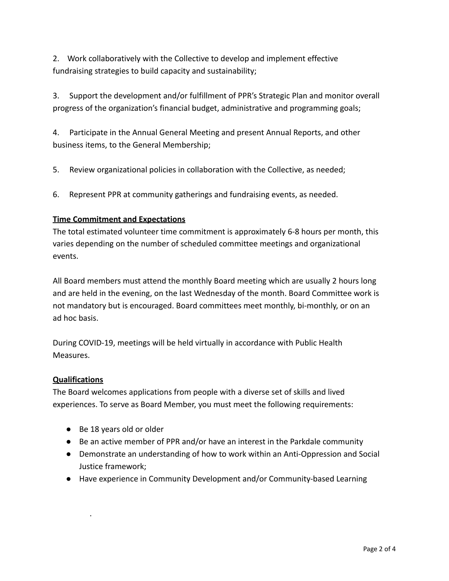2. Work collaboratively with the Collective to develop and implement effective fundraising strategies to build capacity and sustainability;

3. Support the development and/or fulfillment of PPR's Strategic Plan and monitor overall progress of the organization's financial budget, administrative and programming goals;

4. Participate in the Annual General Meeting and present Annual Reports, and other business items, to the General Membership;

5. Review organizational policies in collaboration with the Collective, as needed;

6. Represent PPR at community gatherings and fundraising events, as needed.

# **Time Commitment and Expectations**

The total estimated volunteer time commitment is approximately 6-8 hours per month, this varies depending on the number of scheduled committee meetings and organizational events.

All Board members must attend the monthly Board meeting which are usually 2 hours long and are held in the evening, on the last Wednesday of the month. Board Committee work is not mandatory but is encouraged. Board committees meet monthly, bi-monthly, or on an ad hoc basis.

During COVID-19, meetings will be held virtually in accordance with Public Health Measures.

# **Qualifications**

·

The Board welcomes applications from people with a diverse set of skills and lived experiences. To serve as Board Member, you must meet the following requirements:

- Be 18 years old or older
- Be an active member of PPR and/or have an interest in the Parkdale community
- Demonstrate an understanding of how to work within an Anti-Oppression and Social Justice framework;
- Have experience in Community Development and/or Community-based Learning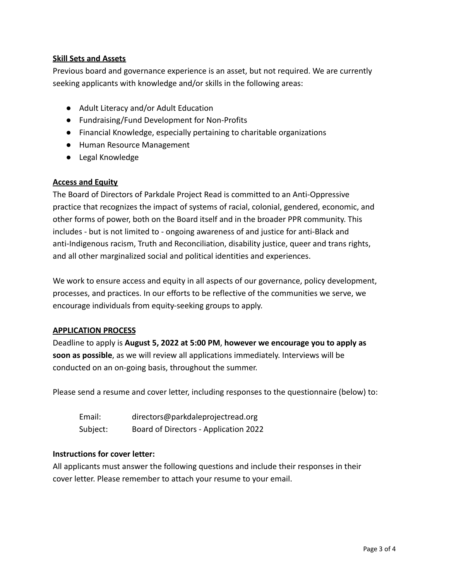# **Skill Sets and Assets**

Previous board and governance experience is an asset, but not required. We are currently seeking applicants with knowledge and/or skills in the following areas:

- Adult Literacy and/or Adult Education
- Fundraising/Fund Development for Non-Profits
- Financial Knowledge, especially pertaining to charitable organizations
- Human Resource Management
- Legal Knowledge

### **Access and Equity**

The Board of Directors of Parkdale Project Read is committed to an Anti-Oppressive practice that recognizes the impact of systems of racial, colonial, gendered, economic, and other forms of power, both on the Board itself and in the broader PPR community. This includes - but is not limited to - ongoing awareness of and justice for anti-Black and anti-Indigenous racism, Truth and Reconciliation, disability justice, queer and trans rights, and all other marginalized social and political identities and experiences.

We work to ensure access and equity in all aspects of our governance, policy development, processes, and practices. In our efforts to be reflective of the communities we serve, we encourage individuals from equity-seeking groups to apply.

# **APPLICATION PROCESS**

Deadline to apply is **August 5, 2022 at 5:00 PM**, **however we encourage you to apply as soon as possible**, as we will review all applications immediately. Interviews will be conducted on an on-going basis, throughout the summer.

Please send a resume and cover letter, including responses to the questionnaire (below) to:

| Email:   | directors@parkdaleprojectread.org     |
|----------|---------------------------------------|
| Subject: | Board of Directors - Application 2022 |

#### **Instructions for cover letter:**

All applicants must answer the following questions and include their responses in their cover letter. Please remember to attach your resume to your email.